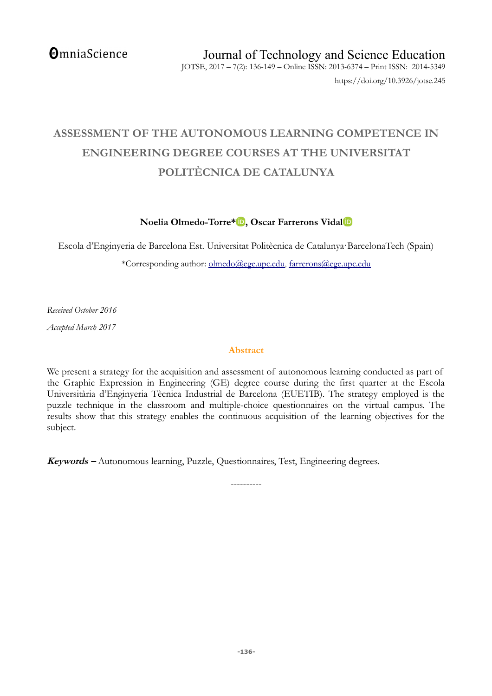# **ASSESSMENT OF THE AUTONOMOUS LEARNING COMPETENCE IN ENGINEERING DEGREE COURSES AT THE UNIVERSITAT POLITÈCNICA DE CATALUNYA**

# **Noelia Olmedo-Torre\* [,](http://orcid.org/0000-0003-2502-3201) Oscar Farrerons Vida[l](http://orcid.org/0000-0002-2292-6184)**

Escola d'Enginyeria de Barcelona Est. Universitat Politècnica de Catalunya·BarcelonaTech (Spain)

\*Corresponding author: [olmedo@ege.upc.edu,](mailto:olmedo@ege.upc.edu) [farrerons@ege.upc.edu](mailto:farrerons@ege.upc.edu)

*Received October 2016*

*Accepted March 2017*

### **Abstract**

We present a strategy for the acquisition and assessment of autonomous learning conducted as part of the Graphic Expression in Engineering (GE) degree course during the first quarter at the Escola Universitària d'Enginyeria Tècnica Industrial de Barcelona (EUETIB). The strategy employed is the puzzle technique in the classroom and multiple-choice questionnaires on the virtual campus. The results show that this strategy enables the continuous acquisition of the learning objectives for the subject.

----------

**Keywords –** Autonomous learning, Puzzle, Questionnaires, Test, Engineering degrees.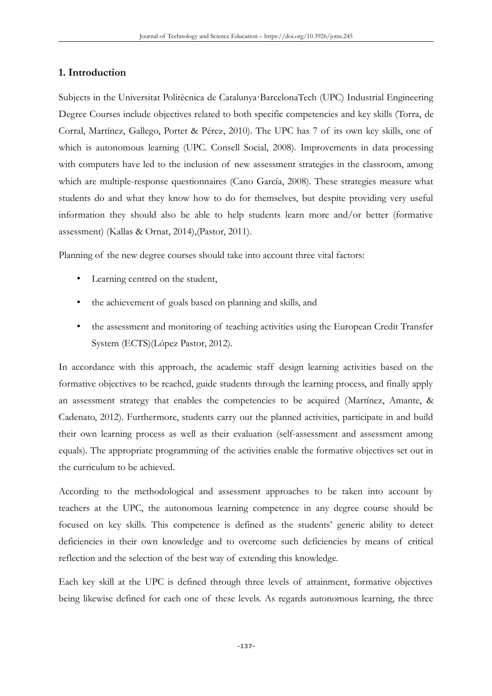#### **1. Introduction**

Subjects in the Universitat Politècnica de Catalunya·BarcelonaTech (UPC) Industrial Engineering Degree Courses include objectives related to both specific competencies and key skills (Torra, de Corral, Martínez, Gallego, Portet & Pérez, 2010). The UPC has 7 of its own key skills, one of which is autonomous learning (UPC. Consell Social, 2008). Improvements in data processing with computers have led to the inclusion of new assessment strategies in the classroom, among which are multiple-response questionnaires (Cano García, 2008). These strategies measure what students do and what they know how to do for themselves, but despite providing very useful information they should also be able to help students learn more and/or better (formative assessment) (Kallas & Ornat, 2014),(Pastor, 2011).

Planning of the new degree courses should take into account three vital factors:

- Learning centred on the student,
- the achievement of goals based on planning and skills, and
- the assessment and monitoring of teaching activities using the European Credit Transfer System (ECTS)(López Pastor, 2012).

In accordance with this approach, the academic staff design learning activities based on the formative objectives to be reached, guide students through the learning process, and finally apply an assessment strategy that enables the competencies to be acquired (Martínez, Amante, & Cadenato, 2012). Furthermore, students carry out the planned activities, participate in and build their own learning process as well as their evaluation (self-assessment and assessment among equals). The appropriate programming of the activities enable the formative objectives set out in the curriculum to be achieved.

According to the methodological and assessment approaches to be taken into account by teachers at the UPC, the autonomous learning competence in any degree course should be focused on key skills. This competence is defined as the students' generic ability to detect deficiencies in their own knowledge and to overcome such deficiencies by means of critical reflection and the selection of the best way of extending this knowledge.

Each key skill at the UPC is defined through three levels of attainment, formative objectives being likewise defined for each one of these levels. As regards autonomous learning, the three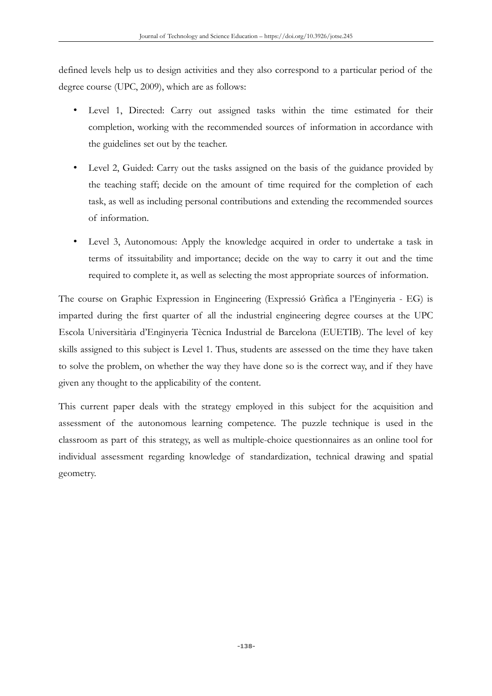defined levels help us to design activities and they also correspond to a particular period of the degree course (UPC, 2009), which are as follows:

- Level 1, Directed: Carry out assigned tasks within the time estimated for their completion, working with the recommended sources of information in accordance with the guidelines set out by the teacher.
- Level 2, Guided: Carry out the tasks assigned on the basis of the guidance provided by the teaching staff; decide on the amount of time required for the completion of each task, as well as including personal contributions and extending the recommended sources of information.
- Level 3, Autonomous: Apply the knowledge acquired in order to undertake a task in terms of itssuitability and importance; decide on the way to carry it out and the time required to complete it, as well as selecting the most appropriate sources of information.

The course on Graphic Expression in Engineering (Expressió Gràfica a l'Enginyeria - EG) is imparted during the first quarter of all the industrial engineering degree courses at the UPC Escola Universitària d'Enginyeria Tècnica Industrial de Barcelona (EUETIB). The level of key skills assigned to this subject is Level 1. Thus, students are assessed on the time they have taken to solve the problem, on whether the way they have done so is the correct way, and if they have given any thought to the applicability of the content.

This current paper deals with the strategy employed in this subject for the acquisition and assessment of the autonomous learning competence. The puzzle technique is used in the classroom as part of this strategy, as well as multiple-choice questionnaires as an online tool for individual assessment regarding knowledge of standardization, technical drawing and spatial geometry.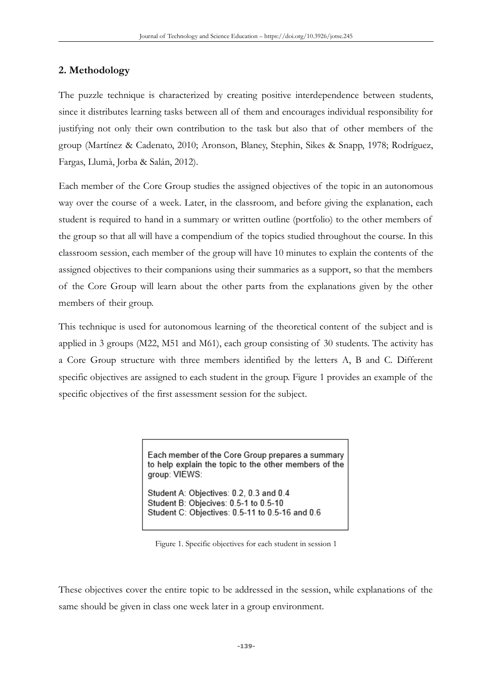# **2. Methodology**

The puzzle technique is characterized by creating positive interdependence between students, since it distributes learning tasks between all of them and encourages individual responsibility for justifying not only their own contribution to the task but also that of other members of the group (Martínez & Cadenato, 2010; Aronson, Blaney, Stephin, Sikes & Snapp, 1978; Rodríguez, Fargas, Llumà, Jorba & Salán, 2012).

Each member of the Core Group studies the assigned objectives of the topic in an autonomous way over the course of a week. Later, in the classroom, and before giving the explanation, each student is required to hand in a summary or written outline (portfolio) to the other members of the group so that all will have a compendium of the topics studied throughout the course. In this classroom session, each member of the group will have 10 minutes to explain the contents of the assigned objectives to their companions using their summaries as a support, so that the members of the Core Group will learn about the other parts from the explanations given by the other members of their group.

This technique is used for autonomous learning of the theoretical content of the subject and is applied in 3 groups (M22, M51 and M61), each group consisting of 30 students. The activity has a Core Group structure with three members identified by the letters A, B and C. Different specific objectives are assigned to each student in the group. Figure 1 provides an example of the specific objectives of the first assessment session for the subject.

> Each member of the Core Group prepares a summary to help explain the topic to the other members of the group: VIEWS:

Student A: Objectives: 0.2, 0.3 and 0.4 Student B: Objecives: 0.5-1 to 0.5-10 Student C: Objectives: 0.5-11 to 0.5-16 and 0.6

Figure 1. Specific objectives for each student in session 1

These objectives cover the entire topic to be addressed in the session, while explanations of the same should be given in class one week later in a group environment.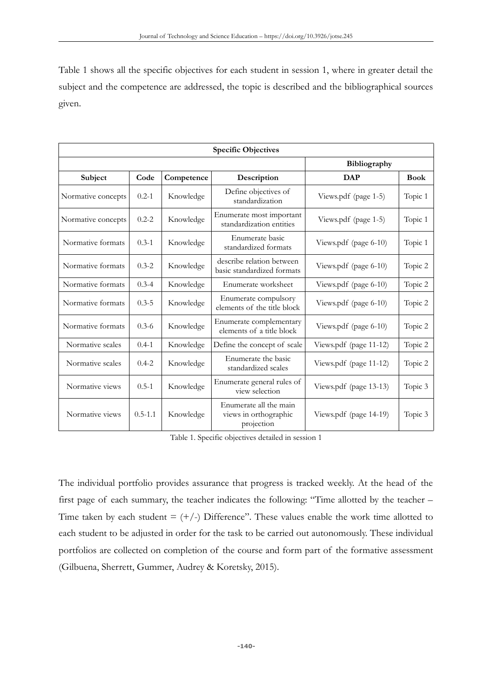Table 1 shows all the specific objectives for each student in session 1, where in greater detail the subject and the competence are addressed, the topic is described and the bibliographical sources given.

| <b>Specific Objectives</b> |             |            |                                                               |                        |             |
|----------------------------|-------------|------------|---------------------------------------------------------------|------------------------|-------------|
|                            |             |            | Bibliography                                                  |                        |             |
| Subject                    | Code        | Competence | Description                                                   | <b>DAP</b>             | <b>Book</b> |
| Normative concepts         | $0.2 - 1$   | Knowledge  | Define objectives of<br>standardization                       | Views.pdf (page 1-5)   | Topic 1     |
| Normative concepts         | $0.2 - 2$   | Knowledge  | Enumerate most important<br>standardization entities          | Views.pdf (page 1-5)   | Topic 1     |
| Normative formats          | $0.3 - 1$   | Knowledge  | Enumerate basic<br>standardized formats                       | Views.pdf (page 6-10)  | Topic 1     |
| Normative formats          | $0.3 - 2$   | Knowledge  | describe relation between<br>basic standardized formats       | Views.pdf (page 6-10)  | Topic 2     |
| Normative formats          | $0.3 - 4$   | Knowledge  | Enumerate worksheet                                           | Views.pdf (page 6-10)  | Topic 2     |
| Normative formats          | $0.3 - 5$   | Knowledge  | Enumerate compulsory<br>elements of the title block           | Views.pdf (page 6-10)  | Topic 2     |
| Normative formats          | $0.3 - 6$   | Knowledge  | Enumerate complementary<br>elements of a title block          | Views.pdf (page 6-10)  | Topic 2     |
| Normative scales           | $0.4 - 1$   | Knowledge  | Define the concept of scale                                   | Views.pdf (page 11-12) | Topic 2     |
| Normative scales           | $0.4 - 2$   | Knowledge  | Enumerate the basic<br>standardized scales                    | Views.pdf (page 11-12) | Topic 2     |
| Normative views            | $0.5 - 1$   | Knowledge  | Enumerate general rules of<br>view selection                  | Views.pdf (page 13-13) | Topic 3     |
| Normative views            | $0.5 - 1.1$ | Knowledge  | Enumerate all the main<br>views in orthographic<br>projection | Views.pdf (page 14-19) | Topic 3     |

Table 1. Specific objectives detailed in session 1

The individual portfolio provides assurance that progress is tracked weekly. At the head of the first page of each summary, the teacher indicates the following: "Time allotted by the teacher – Time taken by each student  $= (+/-)$  Difference". These values enable the work time allotted to each student to be adjusted in order for the task to be carried out autonomously. These individual portfolios are collected on completion of the course and form part of the formative assessment (Gilbuena, Sherrett, Gummer, Audrey & Koretsky, 2015).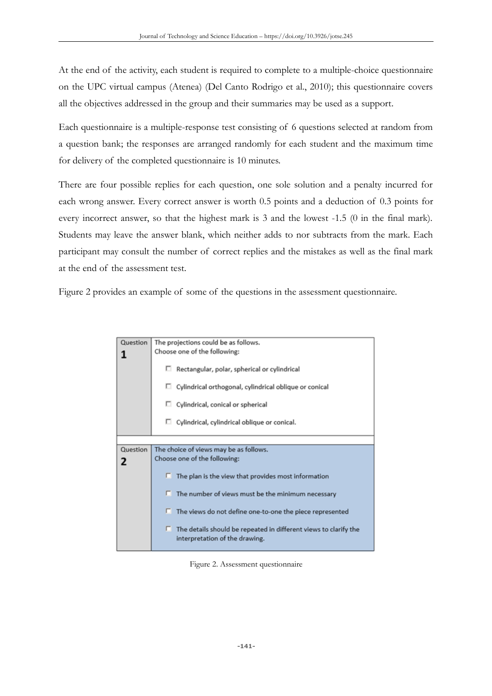At the end of the activity, each student is required to complete to a multiple-choice questionnaire on the UPC virtual campus (Atenea) (Del Canto Rodrigo et al., 2010); this questionnaire covers all the objectives addressed in the group and their summaries may be used as a support.

Each questionnaire is a multiple-response test consisting of 6 questions selected at random from a question bank; the responses are arranged randomly for each student and the maximum time for delivery of the completed questionnaire is 10 minutes.

There are four possible replies for each question, one sole solution and a penalty incurred for each wrong answer. Every correct answer is worth 0.5 points and a deduction of 0.3 points for every incorrect answer, so that the highest mark is 3 and the lowest -1.5 (0 in the final mark). Students may leave the answer blank, which neither adds to nor subtracts from the mark. Each participant may consult the number of correct replies and the mistakes as well as the final mark at the end of the assessment test.

Figure 2 provides an example of some of the questions in the assessment questionnaire.

| Question | The projections could be as follows.                                                               |
|----------|----------------------------------------------------------------------------------------------------|
|          | Choose one of the following:                                                                       |
|          | $\Box$ Rectangular, polar, spherical or cylindrical                                                |
|          | $\Box$ Cylindrical orthogonal, cylindrical oblique or conical                                      |
|          | $\Box$ Cylindrical, conical or spherical                                                           |
|          | $\Box$ Cylindrical, cylindrical oblique or conical.                                                |
|          |                                                                                                    |
| Question | The choice of views may be as follows.                                                             |
| 2        | Choose one of the following:                                                                       |
|          |                                                                                                    |
|          | The plan is the view that provides most information                                                |
|          | The number of views must be the minimum necessary                                                  |
|          | The views do not define one-to-one the piece represented                                           |
|          | The details should be repeated in different views to clarify the<br>interpretation of the drawing. |

Figure 2. Assessment questionnaire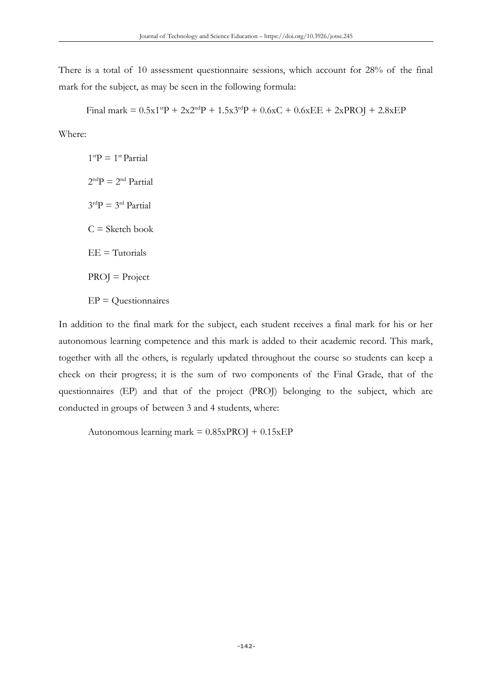There is a total of 10 assessment questionnaire sessions, which account for 28% of the final mark for the subject, as may be seen in the following formula:

Final mark =  $0.5x1^{st}P + 2x2^{nd}P + 1.5x3^{rd}P + 0.6xC + 0.6xEE + 2xPROJ + 2.8xEP$ 

Where:

 $1<sup>st</sup>P = 1<sup>st</sup> Partial$  $2<sup>nd</sup>P = 2<sup>nd</sup> Partial$  $3<sup>rd</sup>P = 3<sup>rd</sup>$  Partial  $C =$  Sketch book  $EE = Tutorials$  $PROJ = Project$  $EP = Questionsinaries$ 

In addition to the final mark for the subject, each student receives a final mark for his or her autonomous learning competence and this mark is added to their academic record. This mark, together with all the others, is regularly updated throughout the course so students can keep a check on their progress; it is the sum of two components of the Final Grade, that of the questionnaires (EP) and that of the project (PROJ) belonging to the subject, which are conducted in groups of between 3 and 4 students, where:

Autonomous learning mark  $= 0.85xPROJ + 0.15xEP$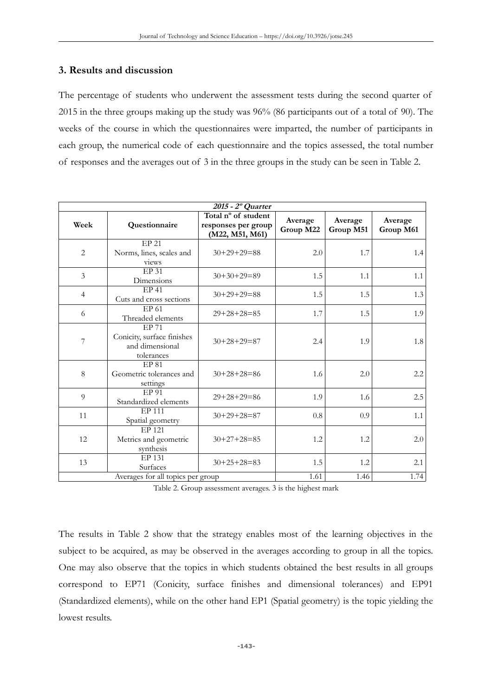## **3. Results and discussion**

The percentage of students who underwent the assessment tests during the second quarter of 2015 in the three groups making up the study was 96% (86 participants out of a total of 90). The weeks of the course in which the questionnaires were imparted, the number of participants in each group, the numerical code of each questionnaire and the topics assessed, the total number of responses and the averages out of 3 in the three groups in the study can be seen in Table 2.

| 2015 - 2º Quarter                 |                                                                      |                                                               |                      |                      |                      |
|-----------------------------------|----------------------------------------------------------------------|---------------------------------------------------------------|----------------------|----------------------|----------------------|
| Week                              | Questionnaire                                                        | Total nº of student<br>responses per group<br>(M22, M51, M61) | Average<br>Group M22 | Average<br>Group M51 | Average<br>Group M61 |
| 2                                 | <b>EP 21</b><br>Norms, lines, scales and<br>views                    | $30+29+29=88$                                                 | 2.0                  | 1.7                  | 1.4                  |
| 3                                 | EP <sub>31</sub><br>Dimensions                                       | $30+30+29=89$                                                 | 1.5                  | 1.1                  | 1.1                  |
| $\overline{4}$                    | <b>EP41</b><br>Cuts and cross sections                               | $30+29+29=88$                                                 | 1.5                  | 1.5                  | 1.3                  |
| 6                                 | EP 61<br>Threaded elements                                           | $29+28+28=85$                                                 | 1.7                  | 1.5                  | 1.9                  |
| 7                                 | EP 71<br>Conicity, surface finishes<br>and dimensional<br>tolerances | $30+28+29=87$                                                 | 2.4                  | 1.9                  | 1.8                  |
| 8                                 | EP 81<br>Geometric tolerances and<br>settings                        | $30+28+28=86$                                                 | 1.6                  | 2.0                  | 2.2                  |
| $\overline{9}$                    | EP 91<br>Standardized elements                                       | $29+28+29=86$                                                 | 1.9                  | 1.6                  | 2.5                  |
| 11                                | EP 111<br>Spatial geometry                                           | $30+29+28=87$                                                 | 0.8                  | 0.9                  | 1.1                  |
| 12                                | EP 121<br>Metrics and geometric<br>synthesis                         | $30+27+28=85$                                                 | 1.2                  | 1.2                  | 2.0                  |
| 13                                | EP 131<br>Surfaces                                                   | $30+25+28=83$                                                 | 1.5                  | 1.2                  | 2.1                  |
| Averages for all topics per group |                                                                      |                                                               | 1.61                 | 1.46                 | 1.74                 |

Table 2. Group assessment averages. 3 is the highest mark

The results in Table 2 show that the strategy enables most of the learning objectives in the subject to be acquired, as may be observed in the averages according to group in all the topics. One may also observe that the topics in which students obtained the best results in all groups correspond to EP71 (Conicity, surface finishes and dimensional tolerances) and EP91 (Standardized elements), while on the other hand EP1 (Spatial geometry) is the topic yielding the lowest results.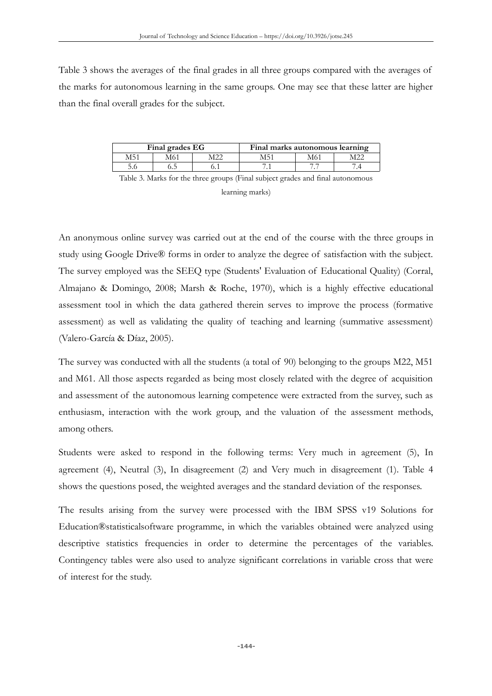Table 3 shows the averages of the final grades in all three groups compared with the averages of the marks for autonomous learning in the same groups. One may see that these latter are higher than the final overall grades for the subject.

| Final grades EG |       |  | Final marks autonomous learning |    |  |
|-----------------|-------|--|---------------------------------|----|--|
| M5              |       |  |                                 |    |  |
|                 | ن د د |  |                                 | -- |  |

Table 3. Marks for the three groups (Final subject grades and final autonomous

learning marks)

An anonymous online survey was carried out at the end of the course with the three groups in study using Google Drive® forms in order to analyze the degree of satisfaction with the subject. The survey employed was the SEEQ type (Students' Evaluation of Educational Quality) (Corral, Almajano & Domingo, 2008; Marsh & Roche, 1970), which is a highly effective educational assessment tool in which the data gathered therein serves to improve the process (formative assessment) as well as validating the quality of teaching and learning (summative assessment) (Valero-García & Díaz, 2005).

The survey was conducted with all the students (a total of 90) belonging to the groups M22, M51 and M61. All those aspects regarded as being most closely related with the degree of acquisition and assessment of the autonomous learning competence were extracted from the survey, such as enthusiasm, interaction with the work group, and the valuation of the assessment methods, among others.

Students were asked to respond in the following terms: Very much in agreement (5), In agreement (4), Neutral (3), In disagreement (2) and Very much in disagreement (1). Table 4 shows the questions posed, the weighted averages and the standard deviation of the responses.

The results arising from the survey were processed with the IBM SPSS v19 Solutions for Education®statisticalsoftware programme, in which the variables obtained were analyzed using descriptive statistics frequencies in order to determine the percentages of the variables. Contingency tables were also used to analyze significant correlations in variable cross that were of interest for the study.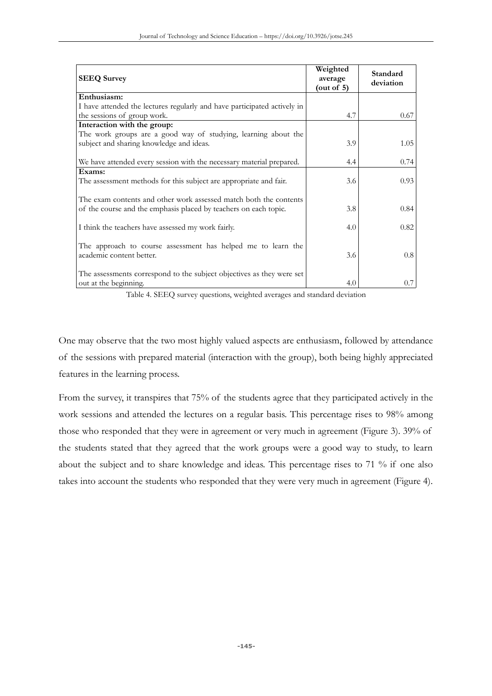| <b>SEEQ Survey</b>                                                       | Weighted<br>average<br>(out of $5$ ) | Standard<br>deviation |
|--------------------------------------------------------------------------|--------------------------------------|-----------------------|
| Enthusiasm:                                                              |                                      |                       |
| I have attended the lectures regularly and have participated actively in |                                      |                       |
| the sessions of group work.                                              | 4.7                                  | 0.67                  |
| Interaction with the group:                                              |                                      |                       |
| The work groups are a good way of studying, learning about the           |                                      |                       |
| subject and sharing knowledge and ideas.                                 | 3.9                                  | 1.05                  |
|                                                                          |                                      |                       |
| We have attended every session with the necessary material prepared.     | 4.4                                  | 0.74                  |
| Exams:                                                                   |                                      |                       |
| The assessment methods for this subject are appropriate and fair.        | 3.6                                  | 0.93                  |
|                                                                          |                                      |                       |
| The exam contents and other work assessed match both the contents        |                                      |                       |
| of the course and the emphasis placed by teachers on each topic.         | 3.8                                  | 0.84                  |
|                                                                          |                                      |                       |
| I think the teachers have assessed my work fairly.                       | 4.0                                  | 0.82                  |
| The approach to course assessment has helped me to learn the             |                                      |                       |
| academic content better.                                                 | 3.6                                  | 0.8                   |
|                                                                          |                                      |                       |
| The assessments correspond to the subject objectives as they were set    |                                      |                       |
| out at the beginning.                                                    | 4.0                                  | 0.7                   |
|                                                                          |                                      |                       |

Table 4. SEEQ survey questions, weighted averages and standard deviation

One may observe that the two most highly valued aspects are enthusiasm, followed by attendance of the sessions with prepared material (interaction with the group), both being highly appreciated features in the learning process.

From the survey, it transpires that 75% of the students agree that they participated actively in the work sessions and attended the lectures on a regular basis. This percentage rises to 98% among those who responded that they were in agreement or very much in agreement (Figure 3). 39% of the students stated that they agreed that the work groups were a good way to study, to learn about the subject and to share knowledge and ideas. This percentage rises to 71 % if one also takes into account the students who responded that they were very much in agreement (Figure 4).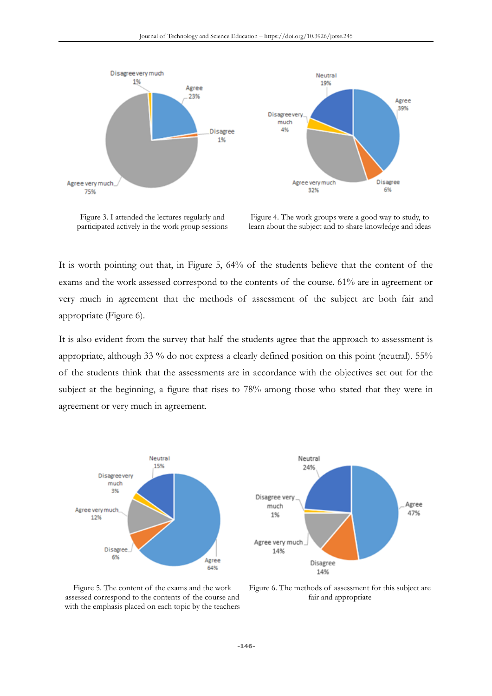

Figure 3. I attended the lectures regularly and participated actively in the work group sessions

Figure 4. The work groups were a good way to study, to learn about the subject and to share knowledge and ideas

It is worth pointing out that, in Figure 5, 64% of the students believe that the content of the exams and the work assessed correspond to the contents of the course. 61% are in agreement or very much in agreement that the methods of assessment of the subject are both fair and appropriate (Figure 6).

It is also evident from the survey that half the students agree that the approach to assessment is appropriate, although 33 % do not express a clearly defined position on this point (neutral). 55% of the students think that the assessments are in accordance with the objectives set out for the subject at the beginning, a figure that rises to 78% among those who stated that they were in agreement or very much in agreement.



Figure 5. The content of the exams and the work assessed correspond to the contents of the course and with the emphasis placed on each topic by the teachers

Figure 6. The methods of assessment for this subject are fair and appropriate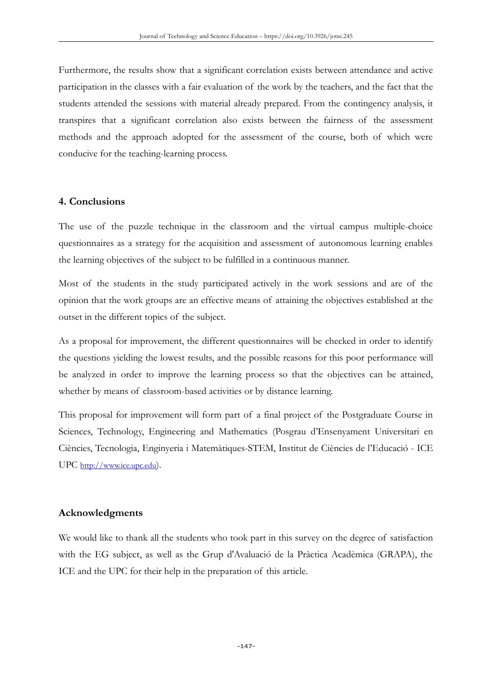Furthermore, the results show that a significant correlation exists between attendance and active participation in the classes with a fair evaluation of the work by the teachers, and the fact that the students attended the sessions with material already prepared. From the contingency analysis, it transpires that a significant correlation also exists between the fairness of the assessment methods and the approach adopted for the assessment of the course, both of which were conducive for the teaching-learning process.

### **4. Conclusions**

The use of the puzzle technique in the classroom and the virtual campus multiple-choice questionnaires as a strategy for the acquisition and assessment of autonomous learning enables the learning objectives of the subject to be fulfilled in a continuous manner.

Most of the students in the study participated actively in the work sessions and are of the opinion that the work groups are an effective means of attaining the objectives established at the outset in the different topics of the subject.

As a proposal for improvement, the different questionnaires will be checked in order to identify the questions yielding the lowest results, and the possible reasons for this poor performance will be analyzed in order to improve the learning process so that the objectives can be attained, whether by means of classroom-based activities or by distance learning.

This proposal for improvement will form part of a final project of the Postgraduate Course in Sciences, Technology, Engineering and Mathematics (Posgrau d'Ensenyament Universitari en Ciències, Tecnologia, Enginyeria i Matemàtiques-STEM, Institut de Ciències de l'Educació - ICE UPC [http://www.ice.upc.edu](http://www.ice.upc.edu/)).

# **Acknowledgments**

We would like to thank all the students who took part in this survey on the degree of satisfaction with the EG subject, as well as the Grup d'Avaluació de la Pràctica Acadèmica (GRAPA), the ICE and the UPC for their help in the preparation of this article.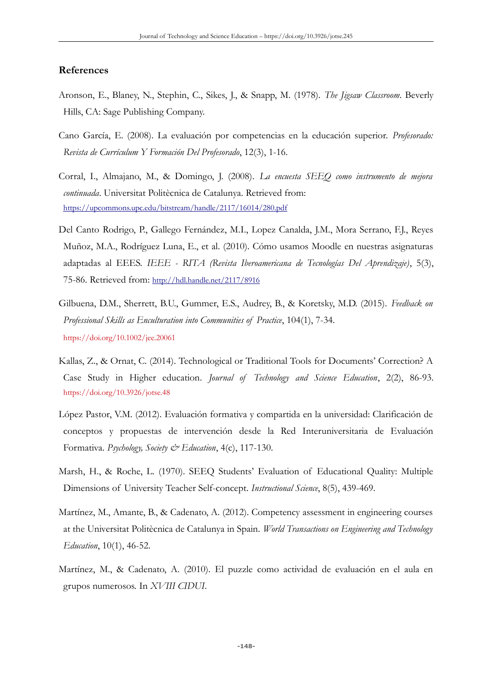## **References**

- Aronson, E., Blaney, N., Stephin, C., Sikes, J., & Snapp, M. (1978). *The Jigsaw Classroom*. Beverly Hills, CA: Sage Publishing Company.
- Cano García, E. (2008). La evaluación por competencias en la educación superior. *Profesorado: Revista de Currículum Y Formación Del Profesorado*, 12(3), 1-16.
- Corral, I., Almajano, M., & Domingo, J. (2008). *La encuesta SEEQ como instrumento de mejora continuada*. Universitat Politècnica de Catalunya. Retrieved from: <https://upcommons.upc.edu/bitstream/handle/2117/16014/280.pdf>
- Del Canto Rodrigo, P., Gallego Fernández, M.I., Lopez Canalda, J.M., Mora Serrano, F.J., Reyes Muñoz, M.A., Rodríguez Luna, E., et al. (2010). Cómo usamos Moodle en nuestras asignaturas adaptadas al EEES. *IEEE - RITA (Revista Iberoamericana de Tecnologías Del Aprendizaje)*, 5(3), 75-86. Retrieved from: <http://hdl.handle.net/2117/8916>
- Gilbuena, D.M., Sherrett, B.U., Gummer, E.S., Audrey, B., & Koretsky, M.D. (2015). *Feedback on Professional Skills as Enculturation into Communities of Practice*, 104(1), 7-34. <https://doi.org/10.1002/jee.20061>
- Kallas, Z., & Ornat, C. (2014). Technological or Traditional Tools for Documents' Correction? A Case Study in Higher education. *Journal of Technology and Science Education*, 2(2), 86-93. <https://doi.org/10.3926/jotse.48>
- López Pastor, V.M. (2012). Evaluación formativa y compartida en la universidad: Clarificación de conceptos y propuestas de intervención desde la Red Interuniversitaria de Evaluación Formativa. *Psychology, Society & Education*, 4(c), 117-130.
- Marsh, H., & Roche, L. (1970). SEEQ Students' Evaluation of Educational Quality: Multiple Dimensions of University Teacher Self-concept. *Instructional Science*, 8(5), 439-469.
- Martínez, M., Amante, B., & Cadenato, A. (2012). Competency assessment in engineering courses at the Universitat Politècnica de Catalunya in Spain. *World Transactions on Engineering and Technology Education*, 10(1), 46-52.
- Martínez, M., & Cadenato, A. (2010). El puzzle como actividad de evaluación en el aula en grupos numerosos. In *XVIII CIDUI*.